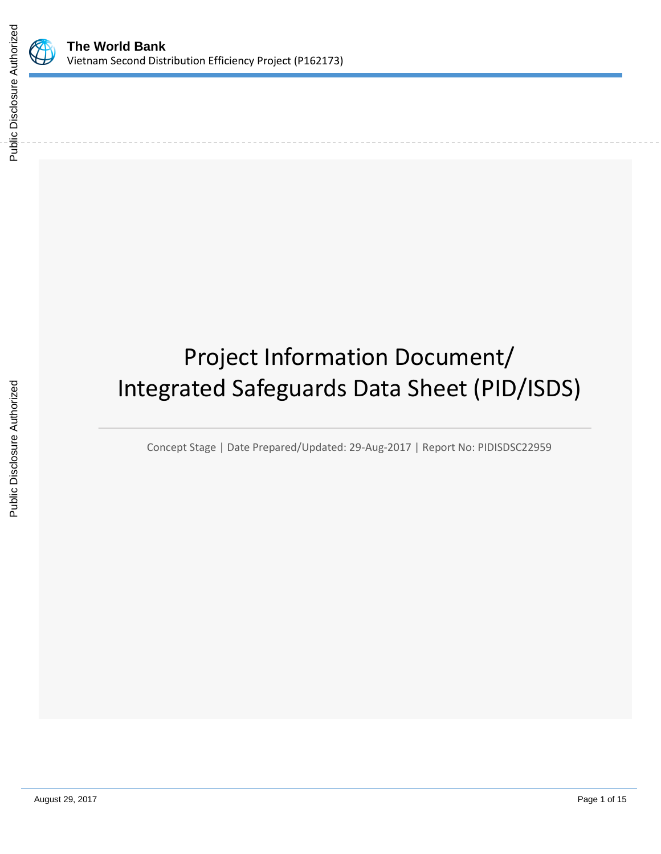

# Project Information Document/ Integrated Safeguards Data Sheet (PID/ISDS)

Concept Stage | Date Prepared/Updated: 29-Aug-2017 | Report No: PIDISDSC22959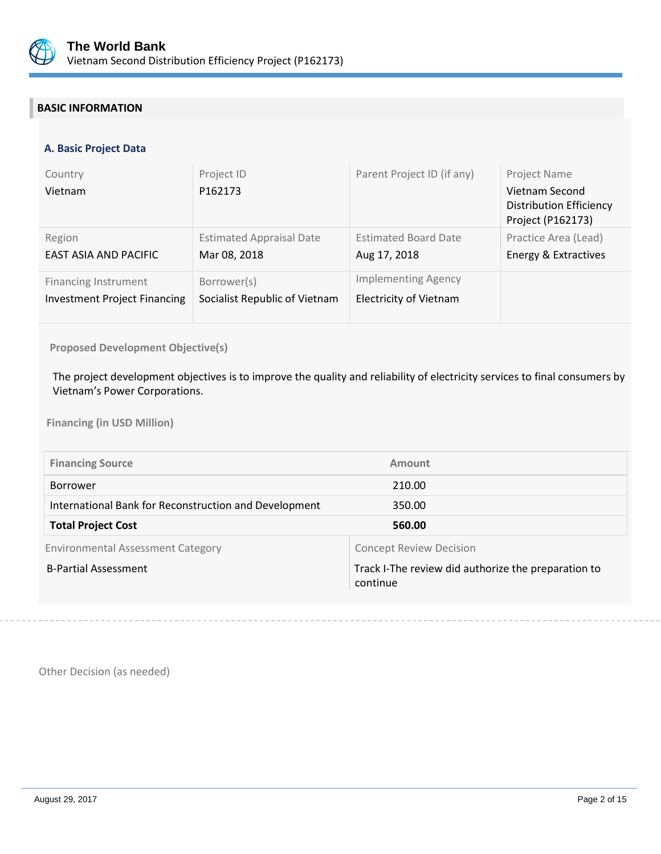

# **BASIC INFORMATION**

#### **A. Basic Project Data**

| Country<br>Vietnam                  | Project ID<br>P162173           | Parent Project ID (if any)    | Project Name<br>Vietnam Second<br><b>Distribution Efficiency</b><br>Project (P162173) |
|-------------------------------------|---------------------------------|-------------------------------|---------------------------------------------------------------------------------------|
| Region                              | <b>Estimated Appraisal Date</b> | <b>Estimated Board Date</b>   | Practice Area (Lead)                                                                  |
| EAST ASIA AND PACIFIC               | Mar 08, 2018                    | Aug 17, 2018                  | Energy & Extractives                                                                  |
| <b>Financing Instrument</b>         | Borrower(s)                     | <b>Implementing Agency</b>    |                                                                                       |
| <b>Investment Project Financing</b> | Socialist Republic of Vietnam   | <b>Electricity of Vietnam</b> |                                                                                       |

#### **Proposed Development Objective(s)**

The project development objectives is to improve the quality and reliability of electricity services to final consumers by Vietnam's Power Corporations.

**Financing (in USD Million)**

| <b>Financing Source</b>                               | Amount                                                          |
|-------------------------------------------------------|-----------------------------------------------------------------|
| Borrower                                              | 210.00                                                          |
| International Bank for Reconstruction and Development | 350.00                                                          |
| <b>Total Project Cost</b>                             | 560.00                                                          |
| <b>Environmental Assessment Category</b>              | <b>Concept Review Decision</b>                                  |
| <b>B-Partial Assessment</b>                           | Track I-The review did authorize the preparation to<br>continue |

Other Decision (as needed)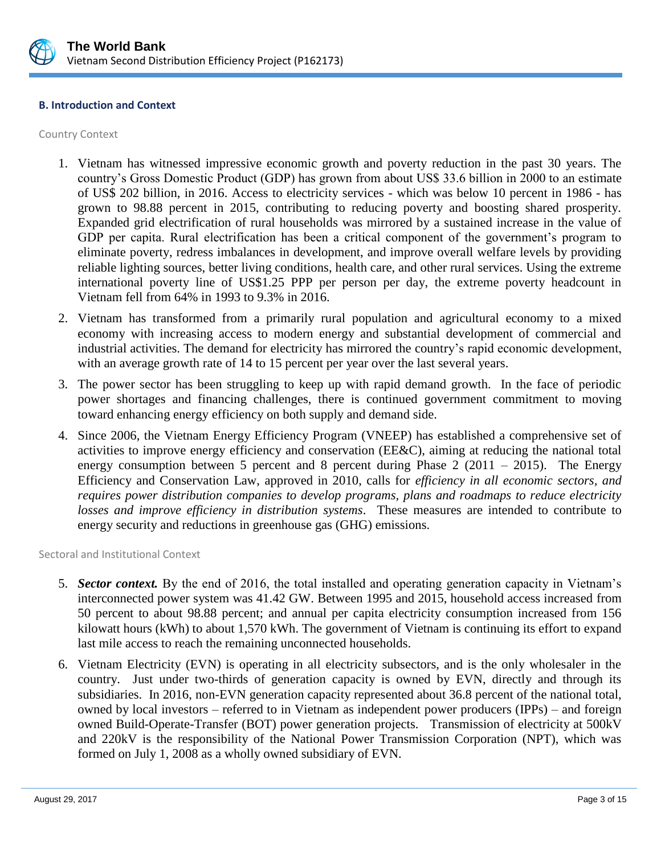

#### **B. Introduction and Context**

Country Context

- 1. Vietnam has witnessed impressive economic growth and poverty reduction in the past 30 years. The country's Gross Domestic Product (GDP) has grown from about US\$ 33.6 billion in 2000 to an estimate of US\$ 202 billion, in 2016. Access to electricity services - which was below 10 percent in 1986 - has grown to 98.88 percent in 2015, contributing to reducing poverty and boosting shared prosperity. Expanded grid electrification of rural households was mirrored by a sustained increase in the value of GDP per capita. Rural electrification has been a critical component of the government's program to eliminate poverty, redress imbalances in development, and improve overall welfare levels by providing reliable lighting sources, better living conditions, health care, and other rural services. Using the extreme international poverty line of US\$1.25 PPP per person per day, the extreme poverty headcount in Vietnam fell from 64% in 1993 to 9.3% in 2016.
- 2. Vietnam has transformed from a primarily rural population and agricultural economy to a mixed economy with increasing access to modern energy and substantial development of commercial and industrial activities. The demand for electricity has mirrored the country's rapid economic development, with an average growth rate of 14 to 15 percent per year over the last several years.
- 3. The power sector has been struggling to keep up with rapid demand growth. In the face of periodic power shortages and financing challenges, there is continued government commitment to moving toward enhancing energy efficiency on both supply and demand side.
- 4. Since 2006, the Vietnam Energy Efficiency Program (VNEEP) has established a comprehensive set of activities to improve energy efficiency and conservation (EE&C), aiming at reducing the national total energy consumption between 5 percent and 8 percent during Phase  $2(2011 - 2015)$ . The Energy Efficiency and Conservation Law, approved in 2010, calls for *efficiency in all economic sectors, and requires power distribution companies to develop programs, plans and roadmaps to reduce electricity losses and improve efficiency in distribution systems*. These measures are intended to contribute to energy security and reductions in greenhouse gas (GHG) emissions.

Sectoral and Institutional Context

- 5. *Sector context.* By the end of 2016, the total installed and operating generation capacity in Vietnam's interconnected power system was 41.42 GW. Between 1995 and 2015, household access increased from 50 percent to about 98.88 percent; and annual per capita electricity consumption increased from 156 kilowatt hours (kWh) to about 1,570 kWh. The government of Vietnam is continuing its effort to expand last mile access to reach the remaining unconnected households.
- 6. Vietnam Electricity (EVN) is operating in all electricity subsectors, and is the only wholesaler in the country. Just under two-thirds of generation capacity is owned by EVN, directly and through its subsidiaries. In 2016, non-EVN generation capacity represented about 36.8 percent of the national total, owned by local investors – referred to in Vietnam as independent power producers (IPPs) – and foreign owned Build-Operate-Transfer (BOT) power generation projects. Transmission of electricity at 500kV and 220kV is the responsibility of the National Power Transmission Corporation (NPT), which was formed on July 1, 2008 as a wholly owned subsidiary of EVN.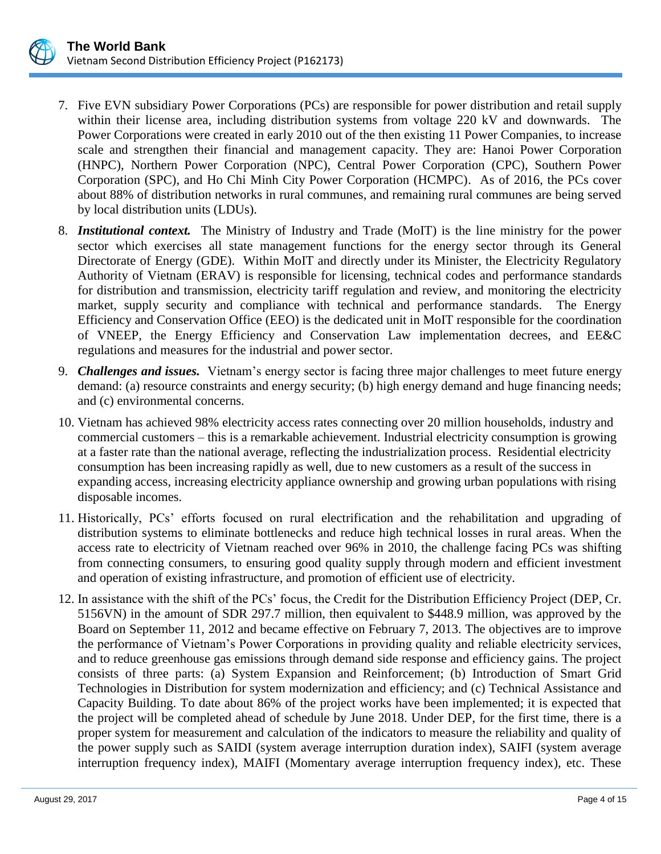

- 7. Five EVN subsidiary Power Corporations (PCs) are responsible for power distribution and retail supply within their license area, including distribution systems from voltage 220 kV and downwards. The Power Corporations were created in early 2010 out of the then existing 11 Power Companies, to increase scale and strengthen their financial and management capacity. They are: Hanoi Power Corporation (HNPC), Northern Power Corporation (NPC), Central Power Corporation (CPC), Southern Power Corporation (SPC), and Ho Chi Minh City Power Corporation (HCMPC). As of 2016, the PCs cover about 88% of distribution networks in rural communes, and remaining rural communes are being served by local distribution units (LDUs).
- 8. *Institutional context.* The Ministry of Industry and Trade (MoIT) is the line ministry for the power sector which exercises all state management functions for the energy sector through its General Directorate of Energy (GDE). Within MoIT and directly under its Minister, the Electricity Regulatory Authority of Vietnam (ERAV) is responsible for licensing, technical codes and performance standards for distribution and transmission, electricity tariff regulation and review, and monitoring the electricity market, supply security and compliance with technical and performance standards. The Energy Efficiency and Conservation Office (EEO) is the dedicated unit in MoIT responsible for the coordination of VNEEP, the Energy Efficiency and Conservation Law implementation decrees, and EE&C regulations and measures for the industrial and power sector.
- 9. *Challenges and issues.* Vietnam's energy sector is facing three major challenges to meet future energy demand: (a) resource constraints and energy security; (b) high energy demand and huge financing needs; and (c) environmental concerns.
- 10. Vietnam has achieved 98% electricity access rates connecting over 20 million households, industry and commercial customers – this is a remarkable achievement. Industrial electricity consumption is growing at a faster rate than the national average, reflecting the industrialization process. Residential electricity consumption has been increasing rapidly as well, due to new customers as a result of the success in expanding access, increasing electricity appliance ownership and growing urban populations with rising disposable incomes.
- 11. Historically, PCs' efforts focused on rural electrification and the rehabilitation and upgrading of distribution systems to eliminate bottlenecks and reduce high technical losses in rural areas. When the access rate to electricity of Vietnam reached over 96% in 2010, the challenge facing PCs was shifting from connecting consumers, to ensuring good quality supply through modern and efficient investment and operation of existing infrastructure, and promotion of efficient use of electricity.
- 12. In assistance with the shift of the PCs' focus, the Credit for the Distribution Efficiency Project (DEP, Cr. 5156VN) in the amount of SDR 297.7 million, then equivalent to \$448.9 million, was approved by the Board on September 11, 2012 and became effective on February 7, 2013. The objectives are to improve the performance of Vietnam's Power Corporations in providing quality and reliable electricity services, and to reduce greenhouse gas emissions through demand side response and efficiency gains. The project consists of three parts: (a) System Expansion and Reinforcement; (b) Introduction of Smart Grid Technologies in Distribution for system modernization and efficiency; and (c) Technical Assistance and Capacity Building. To date about 86% of the project works have been implemented; it is expected that the project will be completed ahead of schedule by June 2018. Under DEP, for the first time, there is a proper system for measurement and calculation of the indicators to measure the reliability and quality of the power supply such as SAIDI (system average interruption duration index), SAIFI (system average interruption frequency index), MAIFI (Momentary average interruption frequency index), etc. These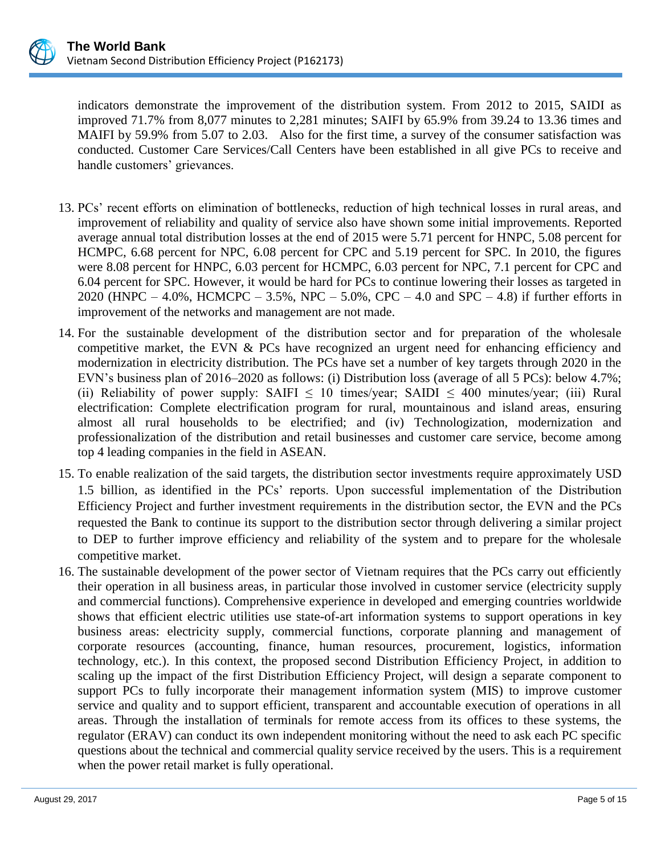

indicators demonstrate the improvement of the distribution system. From 2012 to 2015, SAIDI as improved 71.7% from 8,077 minutes to 2,281 minutes; SAIFI by 65.9% from 39.24 to 13.36 times and MAIFI by 59.9% from 5.07 to 2.03. Also for the first time, a survey of the consumer satisfaction was conducted. Customer Care Services/Call Centers have been established in all give PCs to receive and handle customers' grievances.

- 13. PCs' recent efforts on elimination of bottlenecks, reduction of high technical losses in rural areas, and improvement of reliability and quality of service also have shown some initial improvements. Reported average annual total distribution losses at the end of 2015 were 5.71 percent for HNPC, 5.08 percent for HCMPC, 6.68 percent for NPC, 6.08 percent for CPC and 5.19 percent for SPC. In 2010, the figures were 8.08 percent for HNPC, 6.03 percent for HCMPC, 6.03 percent for NPC, 7.1 percent for CPC and 6.04 percent for SPC. However, it would be hard for PCs to continue lowering their losses as targeted in 2020 (HNPC – 4.0%, HCMCPC – 3.5%, NPC – 5.0%, CPC – 4.0 and SPC – 4.8) if further efforts in improvement of the networks and management are not made.
- 14. For the sustainable development of the distribution sector and for preparation of the wholesale competitive market, the EVN & PCs have recognized an urgent need for enhancing efficiency and modernization in electricity distribution. The PCs have set a number of key targets through 2020 in the EVN's business plan of 2016–2020 as follows: (i) Distribution loss (average of all 5 PCs): below 4.7%; (ii) Reliability of power supply: SAIFI  $\leq 10$  times/year; SAIDI  $\leq 400$  minutes/year; (iii) Rural electrification: Complete electrification program for rural, mountainous and island areas, ensuring almost all rural households to be electrified; and (iv) Technologization, modernization and professionalization of the distribution and retail businesses and customer care service, become among top 4 leading companies in the field in ASEAN.
- 15. To enable realization of the said targets, the distribution sector investments require approximately USD 1.5 billion, as identified in the PCs' reports. Upon successful implementation of the Distribution Efficiency Project and further investment requirements in the distribution sector, the EVN and the PCs requested the Bank to continue its support to the distribution sector through delivering a similar project to DEP to further improve efficiency and reliability of the system and to prepare for the wholesale competitive market.
- 16. The sustainable development of the power sector of Vietnam requires that the PCs carry out efficiently their operation in all business areas, in particular those involved in customer service (electricity supply and commercial functions). Comprehensive experience in developed and emerging countries worldwide shows that efficient electric utilities use state-of-art information systems to support operations in key business areas: electricity supply, commercial functions, corporate planning and management of corporate resources (accounting, finance, human resources, procurement, logistics, information technology, etc.). In this context, the proposed second Distribution Efficiency Project, in addition to scaling up the impact of the first Distribution Efficiency Project, will design a separate component to support PCs to fully incorporate their management information system (MIS) to improve customer service and quality and to support efficient, transparent and accountable execution of operations in all areas. Through the installation of terminals for remote access from its offices to these systems, the regulator (ERAV) can conduct its own independent monitoring without the need to ask each PC specific questions about the technical and commercial quality service received by the users. This is a requirement when the power retail market is fully operational.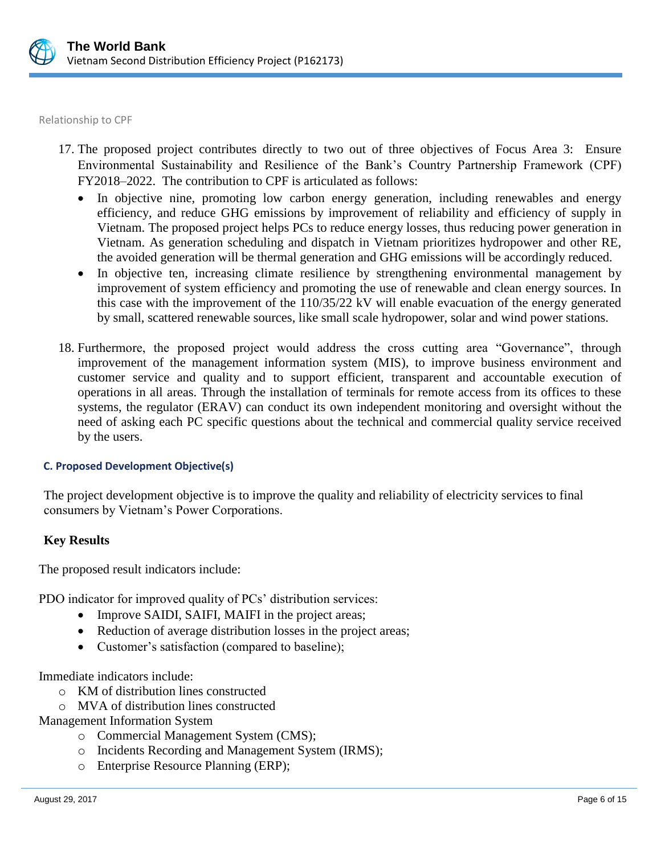

Relationship to CPF

- 17. The proposed project contributes directly to two out of three objectives of Focus Area 3: Ensure Environmental Sustainability and Resilience of the Bank's Country Partnership Framework (CPF) FY2018–2022. The contribution to CPF is articulated as follows:
	- In objective nine, promoting low carbon energy generation, including renewables and energy efficiency, and reduce GHG emissions by improvement of reliability and efficiency of supply in Vietnam. The proposed project helps PCs to reduce energy losses, thus reducing power generation in Vietnam. As generation scheduling and dispatch in Vietnam prioritizes hydropower and other RE, the avoided generation will be thermal generation and GHG emissions will be accordingly reduced.
	- In objective ten, increasing climate resilience by strengthening environmental management by improvement of system efficiency and promoting the use of renewable and clean energy sources. In this case with the improvement of the 110/35/22 kV will enable evacuation of the energy generated by small, scattered renewable sources, like small scale hydropower, solar and wind power stations.
- 18. Furthermore, the proposed project would address the cross cutting area "Governance", through improvement of the management information system (MIS), to improve business environment and customer service and quality and to support efficient, transparent and accountable execution of operations in all areas. Through the installation of terminals for remote access from its offices to these systems, the regulator (ERAV) can conduct its own independent monitoring and oversight without the need of asking each PC specific questions about the technical and commercial quality service received by the users.

## **C. Proposed Development Objective(s)**

The project development objective is to improve the quality and reliability of electricity services to final consumers by Vietnam's Power Corporations.

## **Key Results**

The proposed result indicators include:

PDO indicator for improved quality of PCs' distribution services:

- Improve SAIDI, SAIFI, MAIFI in the project areas;
- Reduction of average distribution losses in the project areas;
- Customer's satisfaction (compared to baseline);

Immediate indicators include:

- o KM of distribution lines constructed
- o MVA of distribution lines constructed

Management Information System

- o Commercial Management System (CMS);
- o Incidents Recording and Management System (IRMS);
- o Enterprise Resource Planning (ERP);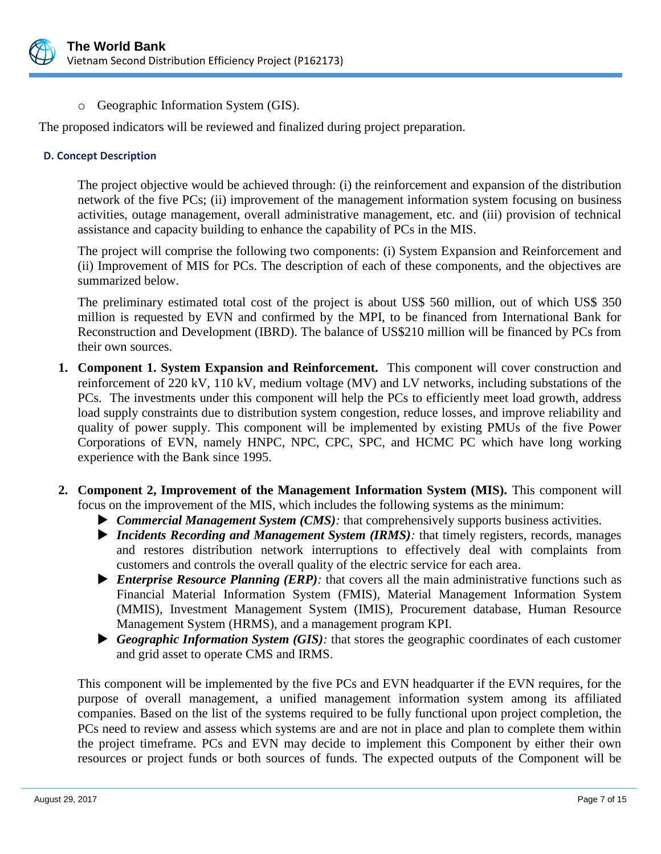

o Geographic Information System (GIS).

The proposed indicators will be reviewed and finalized during project preparation.

### **D. Concept Description**

The project objective would be achieved through: (i) the reinforcement and expansion of the distribution network of the five PCs; (ii) improvement of the management information system focusing on business activities, outage management, overall administrative management, etc. and (iii) provision of technical assistance and capacity building to enhance the capability of PCs in the MIS.

The project will comprise the following two components: (i) System Expansion and Reinforcement and (ii) Improvement of MIS for PCs. The description of each of these components, and the objectives are summarized below.

The preliminary estimated total cost of the project is about US\$ 560 million, out of which US\$ 350 million is requested by EVN and confirmed by the MPI, to be financed from International Bank for Reconstruction and Development (IBRD). The balance of US\$210 million will be financed by PCs from their own sources.

- **1. Component 1. System Expansion and Reinforcement.** This component will cover construction and reinforcement of 220 kV, 110 kV, medium voltage (MV) and LV networks, including substations of the PCs. The investments under this component will help the PCs to efficiently meet load growth, address load supply constraints due to distribution system congestion, reduce losses, and improve reliability and quality of power supply. This component will be implemented by existing PMUs of the five Power Corporations of EVN, namely HNPC, NPC, CPC, SPC, and HCMC PC which have long working experience with the Bank since 1995.
- **2. Component 2, Improvement of the Management Information System (MIS).** This component will focus on the improvement of the MIS, which includes the following systems as the minimum:
	- *Commercial Management System (CMS):* that comprehensively supports business activities.
	- ▶ *Incidents Recording and Management System (IRMS):* that timely registers, records, manages and restores distribution network interruptions to effectively deal with complaints from customers and controls the overall quality of the electric service for each area.
	- *Enterprise Resource Planning (ERP):* that covers all the main administrative functions such as Financial Material Information System (FMIS), Material Management Information System (MMIS), Investment Management System (IMIS), Procurement database, Human Resource Management System (HRMS), and a management program KPI.
	- *Geographic Information System (GIS):* that stores the geographic coordinates of each customer and grid asset to operate CMS and IRMS.

This component will be implemented by the five PCs and EVN headquarter if the EVN requires, for the purpose of overall management, a unified management information system among its affiliated companies. Based on the list of the systems required to be fully functional upon project completion, the PCs need to review and assess which systems are and are not in place and plan to complete them within the project timeframe. PCs and EVN may decide to implement this Component by either their own resources or project funds or both sources of funds. The expected outputs of the Component will be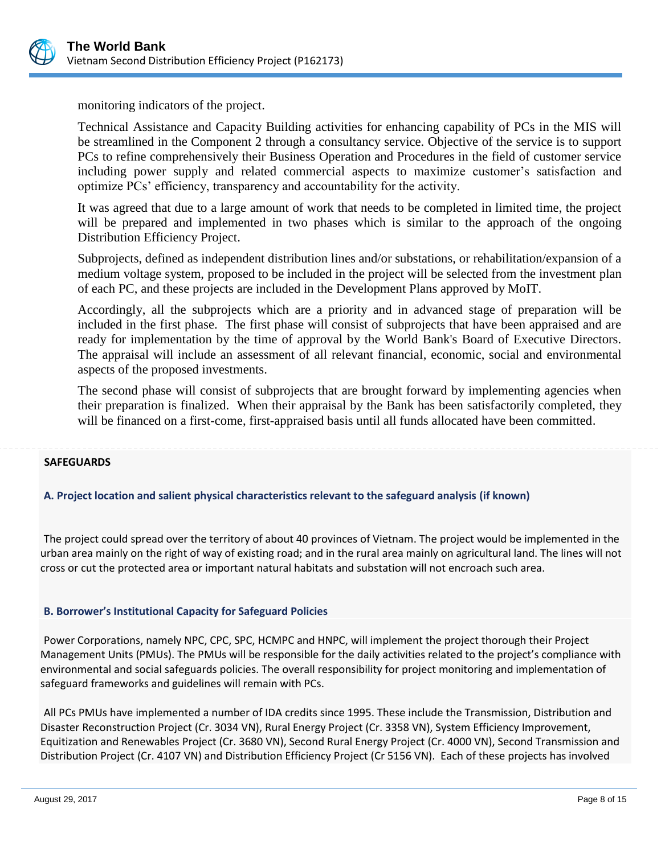

monitoring indicators of the project.

Technical Assistance and Capacity Building activities for enhancing capability of PCs in the MIS will be streamlined in the Component 2 through a consultancy service. Objective of the service is to support PCs to refine comprehensively their Business Operation and Procedures in the field of customer service including power supply and related commercial aspects to maximize customer's satisfaction and optimize PCs' efficiency, transparency and accountability for the activity.

It was agreed that due to a large amount of work that needs to be completed in limited time, the project will be prepared and implemented in two phases which is similar to the approach of the ongoing Distribution Efficiency Project.

Subprojects, defined as independent distribution lines and/or substations, or rehabilitation/expansion of a medium voltage system, proposed to be included in the project will be selected from the investment plan of each PC, and these projects are included in the Development Plans approved by MoIT.

Accordingly, all the subprojects which are a priority and in advanced stage of preparation will be included in the first phase. The first phase will consist of subprojects that have been appraised and are ready for implementation by the time of approval by the World Bank's Board of Executive Directors. The appraisal will include an assessment of all relevant financial, economic, social and environmental aspects of the proposed investments.

The second phase will consist of subprojects that are brought forward by implementing agencies when their preparation is finalized. When their appraisal by the Bank has been satisfactorily completed, they will be financed on a first-come, first-appraised basis until all funds allocated have been committed.

#### **SAFEGUARDS**

## **A. Project location and salient physical characteristics relevant to the safeguard analysis (if known)**

The project could spread over the territory of about 40 provinces of Vietnam. The project would be implemented in the urban area mainly on the right of way of existing road; and in the rural area mainly on agricultural land. The lines will not cross or cut the protected area or important natural habitats and substation will not encroach such area.

#### **B. Borrower's Institutional Capacity for Safeguard Policies**

Power Corporations, namely NPC, CPC, SPC, HCMPC and HNPC, will implement the project thorough their Project Management Units (PMUs). The PMUs will be responsible for the daily activities related to the project's compliance with environmental and social safeguards policies. The overall responsibility for project monitoring and implementation of safeguard frameworks and guidelines will remain with PCs.

All PCs PMUs have implemented a number of IDA credits since 1995. These include the Transmission, Distribution and Disaster Reconstruction Project (Cr. 3034 VN), Rural Energy Project (Cr. 3358 VN), System Efficiency Improvement, Equitization and Renewables Project (Cr. 3680 VN), Second Rural Energy Project (Cr. 4000 VN), Second Transmission and Distribution Project (Cr. 4107 VN) and Distribution Efficiency Project (Cr 5156 VN). Each of these projects has involved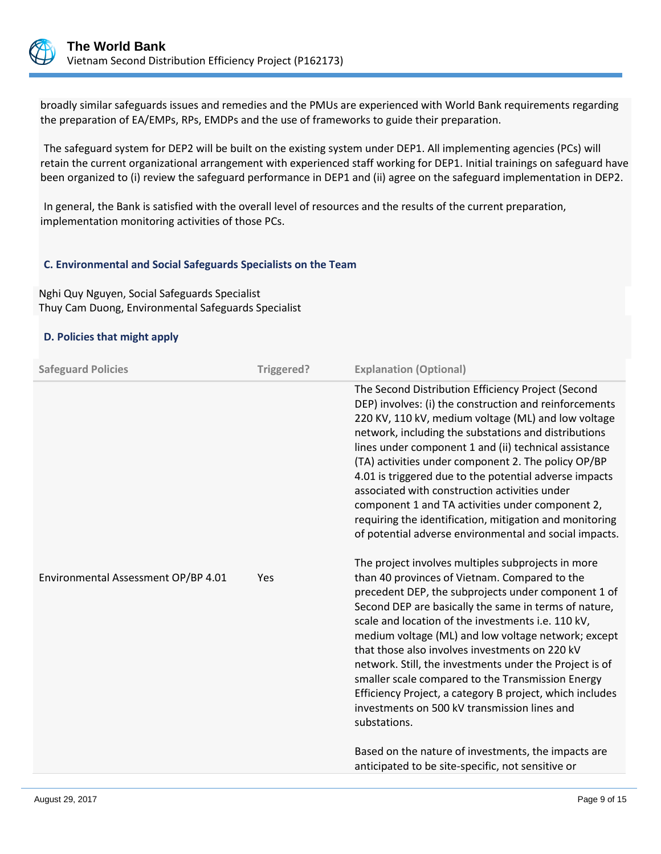

broadly similar safeguards issues and remedies and the PMUs are experienced with World Bank requirements regarding the preparation of EA/EMPs, RPs, EMDPs and the use of frameworks to guide their preparation.

The safeguard system for DEP2 will be built on the existing system under DEP1. All implementing agencies (PCs) will retain the current organizational arrangement with experienced staff working for DEP1. Initial trainings on safeguard have been organized to (i) review the safeguard performance in DEP1 and (ii) agree on the safeguard implementation in DEP2.

In general, the Bank is satisfied with the overall level of resources and the results of the current preparation, implementation monitoring activities of those PCs.

#### **C. Environmental and Social Safeguards Specialists on the Team**

Nghi Quy Nguyen, Social Safeguards Specialist Thuy Cam Duong, Environmental Safeguards Specialist

#### **D. Policies that might apply**

| <b>Safeguard Policies</b>           | Triggered? | <b>Explanation (Optional)</b>                                                                                                                                                                                                                                                                                                                                                                                                                                                                                                                                                                                                   |
|-------------------------------------|------------|---------------------------------------------------------------------------------------------------------------------------------------------------------------------------------------------------------------------------------------------------------------------------------------------------------------------------------------------------------------------------------------------------------------------------------------------------------------------------------------------------------------------------------------------------------------------------------------------------------------------------------|
|                                     |            | The Second Distribution Efficiency Project (Second<br>DEP) involves: (i) the construction and reinforcements<br>220 KV, 110 kV, medium voltage (ML) and low voltage<br>network, including the substations and distributions<br>lines under component 1 and (ii) technical assistance<br>(TA) activities under component 2. The policy OP/BP<br>4.01 is triggered due to the potential adverse impacts<br>associated with construction activities under<br>component 1 and TA activities under component 2,<br>requiring the identification, mitigation and monitoring<br>of potential adverse environmental and social impacts. |
| Environmental Assessment OP/BP 4.01 | Yes        | The project involves multiples subprojects in more<br>than 40 provinces of Vietnam. Compared to the<br>precedent DEP, the subprojects under component 1 of<br>Second DEP are basically the same in terms of nature,<br>scale and location of the investments i.e. 110 kV,<br>medium voltage (ML) and low voltage network; except<br>that those also involves investments on 220 kV<br>network. Still, the investments under the Project is of<br>smaller scale compared to the Transmission Energy<br>Efficiency Project, a category B project, which includes<br>investments on 500 kV transmission lines and<br>substations.  |
|                                     |            | Based on the nature of investments, the impacts are<br>anticipated to be site-specific, not sensitive or                                                                                                                                                                                                                                                                                                                                                                                                                                                                                                                        |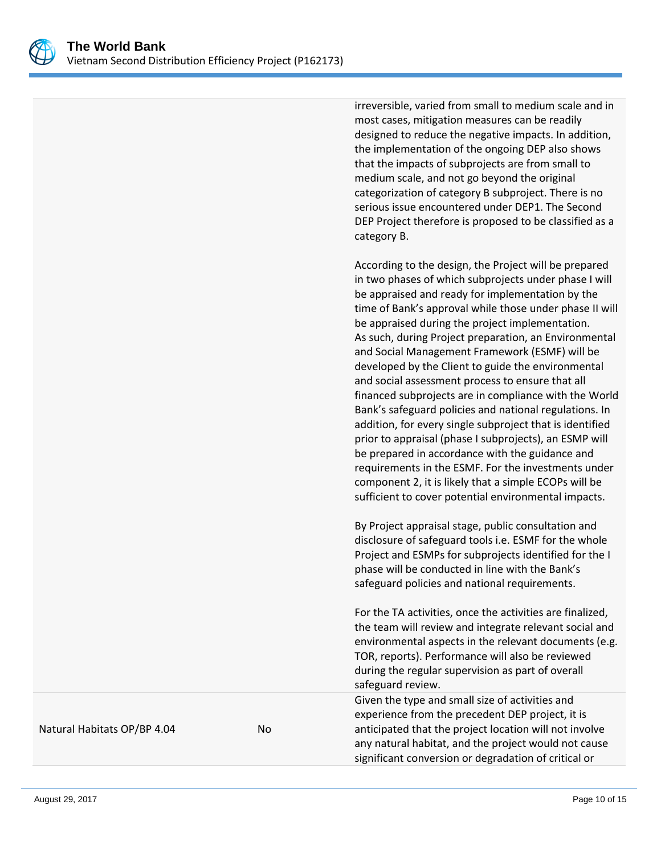

irreversible, varied from small to medium scale and in most cases, mitigation measures can be readily designed to reduce the negative impacts. In addition, the implementation of the ongoing DEP also shows that the impacts of subprojects are from small to medium scale, and not go beyond the original categorization of category B subproject. There is no serious issue encountered under DEP1. The Second DEP Project therefore is proposed to be classified as a category B.

According to the design, the Project will be prepared in two phases of which subprojects under phase I will be appraised and ready for implementation by the time of Bank's approval while those under phase II will be appraised during the project implementation. As such, during Project preparation, an Environmental and Social Management Framework (ESMF) will be developed by the Client to guide the environmental and social assessment process to ensure that all financed subprojects are in compliance with the World Bank's safeguard policies and national regulations. In addition, for every single subproject that is identified prior to appraisal (phase I subprojects), an ESMP will be prepared in accordance with the guidance and requirements in the ESMF. For the investments under component 2, it is likely that a simple ECOPs will be sufficient to cover potential environmental impacts.

By Project appraisal stage, public consultation and disclosure of safeguard tools i.e. ESMF for the whole Project and ESMPs for subprojects identified for the I phase will be conducted in line with the Bank's safeguard policies and national requirements.

For the TA activities, once the activities are finalized, the team will review and integrate relevant social and environmental aspects in the relevant documents (e.g. TOR, reports). Performance will also be reviewed during the regular supervision as part of overall safeguard review.

Given the type and small size of activities and experience from the precedent DEP project, it is anticipated that the project location will not involve any natural habitat, and the project would not cause significant conversion or degradation of critical or

Natural Habitats OP/BP 4.04 No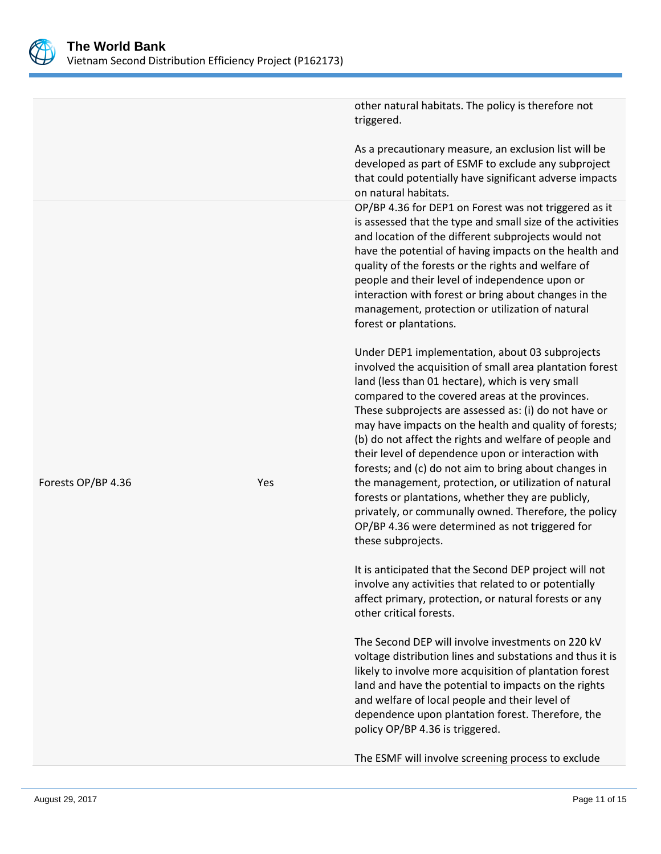

As a precautionary measure, an exclusion list will be developed as part of ESMF to exclude any subproject that could potentially have significant adverse impacts on natural habitats. OP/BP 4.36 for DEP1 on Forest was not triggered as it is assessed that the type and small size of the activities and location of the different subprojects would not have the potential of having impacts on the health and quality of the forests or the rights and welfare of people and their level of independence upon or interaction with forest or bring about changes in the management, protection or utilization of natural forest or plantations. Under DEP1 implementation, about 03 subprojects involved the acquisition of small area plantation forest land (less than 01 hectare), which is very small compared to the covered areas at the provinces. These subprojects are assessed as: (i) do not have or may have impacts on the health and quality of forests; (b) do not affect the rights and welfare of people and their level of dependence upon or interaction with forests; and (c) do not aim to bring about changes in the management, protection, or utilization of natural forests or plantations, whether they are publicly, privately, or communally owned. Therefore, the policy OP/BP 4.36 were determined as not triggered for these subprojects.

other natural habitats. The policy is therefore not

triggered.

It is anticipated that the Second DEP project will not involve any activities that related to or potentially affect primary, protection, or natural forests or any other critical forests.

The Second DEP will involve investments on 220 kV voltage distribution lines and substations and thus it is likely to involve more acquisition of plantation forest land and have the potential to impacts on the rights and welfare of local people and their level of dependence upon plantation forest. Therefore, the policy OP/BP 4.36 is triggered.

The ESMF will involve screening process to exclude

Forests OP/BP 4.36 Yes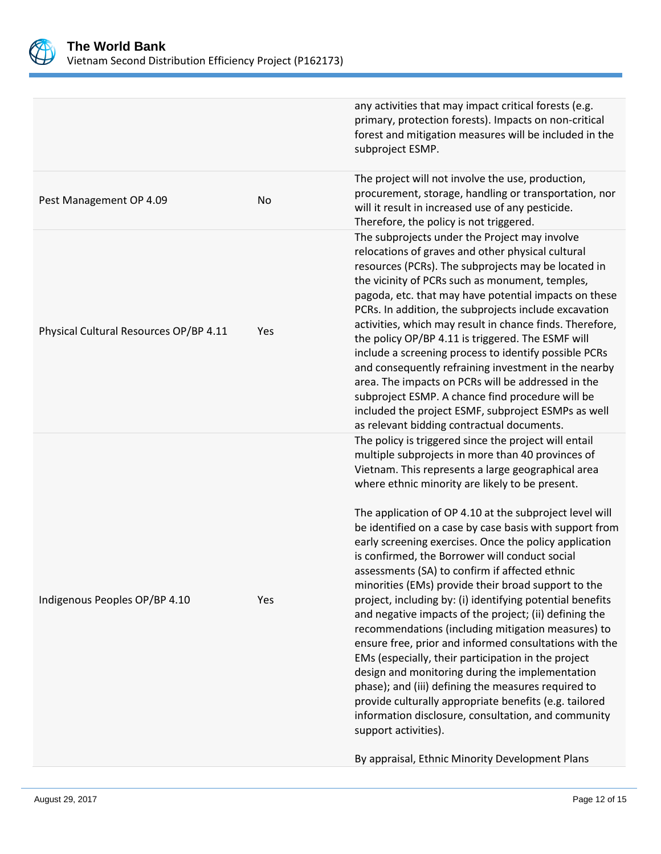

|                                        |     | any activities that may impact critical forests (e.g.<br>primary, protection forests). Impacts on non-critical<br>forest and mitigation measures will be included in the<br>subproject ESMP.                                                                                                                                                                                                                                                                                                                                                                                                                                                                                                                                                                                                                                                                                                                                                                                                                                                                                                                                                                       |
|----------------------------------------|-----|--------------------------------------------------------------------------------------------------------------------------------------------------------------------------------------------------------------------------------------------------------------------------------------------------------------------------------------------------------------------------------------------------------------------------------------------------------------------------------------------------------------------------------------------------------------------------------------------------------------------------------------------------------------------------------------------------------------------------------------------------------------------------------------------------------------------------------------------------------------------------------------------------------------------------------------------------------------------------------------------------------------------------------------------------------------------------------------------------------------------------------------------------------------------|
| Pest Management OP 4.09                | No  | The project will not involve the use, production,<br>procurement, storage, handling or transportation, nor<br>will it result in increased use of any pesticide.<br>Therefore, the policy is not triggered.                                                                                                                                                                                                                                                                                                                                                                                                                                                                                                                                                                                                                                                                                                                                                                                                                                                                                                                                                         |
| Physical Cultural Resources OP/BP 4.11 | Yes | The subprojects under the Project may involve<br>relocations of graves and other physical cultural<br>resources (PCRs). The subprojects may be located in<br>the vicinity of PCRs such as monument, temples,<br>pagoda, etc. that may have potential impacts on these<br>PCRs. In addition, the subprojects include excavation<br>activities, which may result in chance finds. Therefore,<br>the policy OP/BP 4.11 is triggered. The ESMF will<br>include a screening process to identify possible PCRs<br>and consequently refraining investment in the nearby<br>area. The impacts on PCRs will be addressed in the<br>subproject ESMP. A chance find procedure will be<br>included the project ESMF, subproject ESMPs as well<br>as relevant bidding contractual documents.                                                                                                                                                                                                                                                                                                                                                                                    |
| Indigenous Peoples OP/BP 4.10          | Yes | The policy is triggered since the project will entail<br>multiple subprojects in more than 40 provinces of<br>Vietnam. This represents a large geographical area<br>where ethnic minority are likely to be present.<br>The application of OP 4.10 at the subproject level will<br>be identified on a case by case basis with support from<br>early screening exercises. Once the policy application<br>is confirmed, the Borrower will conduct social<br>assessments (SA) to confirm if affected ethnic<br>minorities (EMs) provide their broad support to the<br>project, including by: (i) identifying potential benefits<br>and negative impacts of the project; (ii) defining the<br>recommendations (including mitigation measures) to<br>ensure free, prior and informed consultations with the<br>EMs (especially, their participation in the project<br>design and monitoring during the implementation<br>phase); and (iii) defining the measures required to<br>provide culturally appropriate benefits (e.g. tailored<br>information disclosure, consultation, and community<br>support activities).<br>By appraisal, Ethnic Minority Development Plans |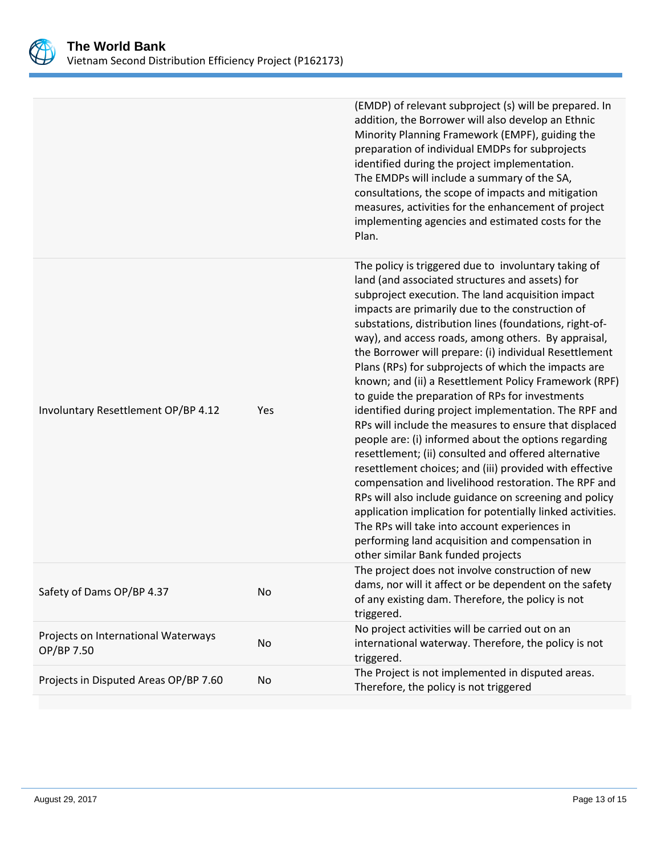

|                                                   |     | (EMDP) of relevant subproject (s) will be prepared. In<br>addition, the Borrower will also develop an Ethnic<br>Minority Planning Framework (EMPF), guiding the<br>preparation of individual EMDPs for subprojects<br>identified during the project implementation.<br>The EMDPs will include a summary of the SA,<br>consultations, the scope of impacts and mitigation<br>measures, activities for the enhancement of project<br>implementing agencies and estimated costs for the<br>Plan.                                                                                                                                                                                                                                                                                                                                                                                                                                                                                                                                                                                                                                                                                            |
|---------------------------------------------------|-----|------------------------------------------------------------------------------------------------------------------------------------------------------------------------------------------------------------------------------------------------------------------------------------------------------------------------------------------------------------------------------------------------------------------------------------------------------------------------------------------------------------------------------------------------------------------------------------------------------------------------------------------------------------------------------------------------------------------------------------------------------------------------------------------------------------------------------------------------------------------------------------------------------------------------------------------------------------------------------------------------------------------------------------------------------------------------------------------------------------------------------------------------------------------------------------------|
| Involuntary Resettlement OP/BP 4.12               | Yes | The policy is triggered due to involuntary taking of<br>land (and associated structures and assets) for<br>subproject execution. The land acquisition impact<br>impacts are primarily due to the construction of<br>substations, distribution lines (foundations, right-of-<br>way), and access roads, among others. By appraisal,<br>the Borrower will prepare: (i) individual Resettlement<br>Plans (RPs) for subprojects of which the impacts are<br>known; and (ii) a Resettlement Policy Framework (RPF)<br>to guide the preparation of RPs for investments<br>identified during project implementation. The RPF and<br>RPs will include the measures to ensure that displaced<br>people are: (i) informed about the options regarding<br>resettlement; (ii) consulted and offered alternative<br>resettlement choices; and (iii) provided with effective<br>compensation and livelihood restoration. The RPF and<br>RPs will also include guidance on screening and policy<br>application implication for potentially linked activities.<br>The RPs will take into account experiences in<br>performing land acquisition and compensation in<br>other similar Bank funded projects |
| Safety of Dams OP/BP 4.37                         | No  | The project does not involve construction of new<br>dams, nor will it affect or be dependent on the safety<br>of any existing dam. Therefore, the policy is not<br>triggered.                                                                                                                                                                                                                                                                                                                                                                                                                                                                                                                                                                                                                                                                                                                                                                                                                                                                                                                                                                                                            |
| Projects on International Waterways<br>OP/BP 7.50 | No  | No project activities will be carried out on an<br>international waterway. Therefore, the policy is not<br>triggered.                                                                                                                                                                                                                                                                                                                                                                                                                                                                                                                                                                                                                                                                                                                                                                                                                                                                                                                                                                                                                                                                    |
| Projects in Disputed Areas OP/BP 7.60             | No  | The Project is not implemented in disputed areas.<br>Therefore, the policy is not triggered                                                                                                                                                                                                                                                                                                                                                                                                                                                                                                                                                                                                                                                                                                                                                                                                                                                                                                                                                                                                                                                                                              |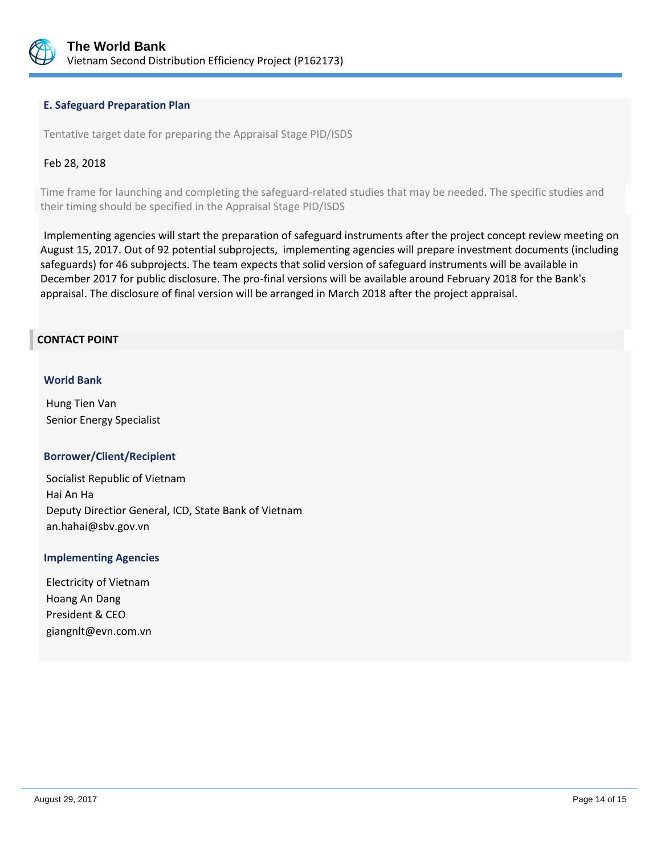

#### **E. Safeguard Preparation Plan**

Tentative target date for preparing the Appraisal Stage PID/ISDS

#### Feb 28, 2018

Time frame for launching and completing the safeguard-related studies that may be needed. The specific studies and their timing should be specified in the Appraisal Stage PID/ISDS

Implementing agencies will start the preparation of safeguard instruments after the project concept review meeting on August 15, 2017. Out of 92 potential subprojects, implementing agencies will prepare investment documents (including safeguards) for 46 subprojects. The team expects that solid version of safeguard instruments will be available in December 2017 for public disclosure. The pro-final versions will be available around February 2018 for the Bank's appraisal. The disclosure of final version will be arranged in March 2018 after the project appraisal.

#### **CONTACT POINT**

#### **World Bank**

Hung Tien Van Senior Energy Specialist

#### **Borrower/Client/Recipient**

Socialist Republic of Vietnam Hai An Ha Deputy Directior General, ICD, State Bank of Vietnam an.hahai@sbv.gov.vn

#### **Implementing Agencies**

Electricity of Vietnam Hoang An Dang President & CEO giangnlt@evn.com.vn